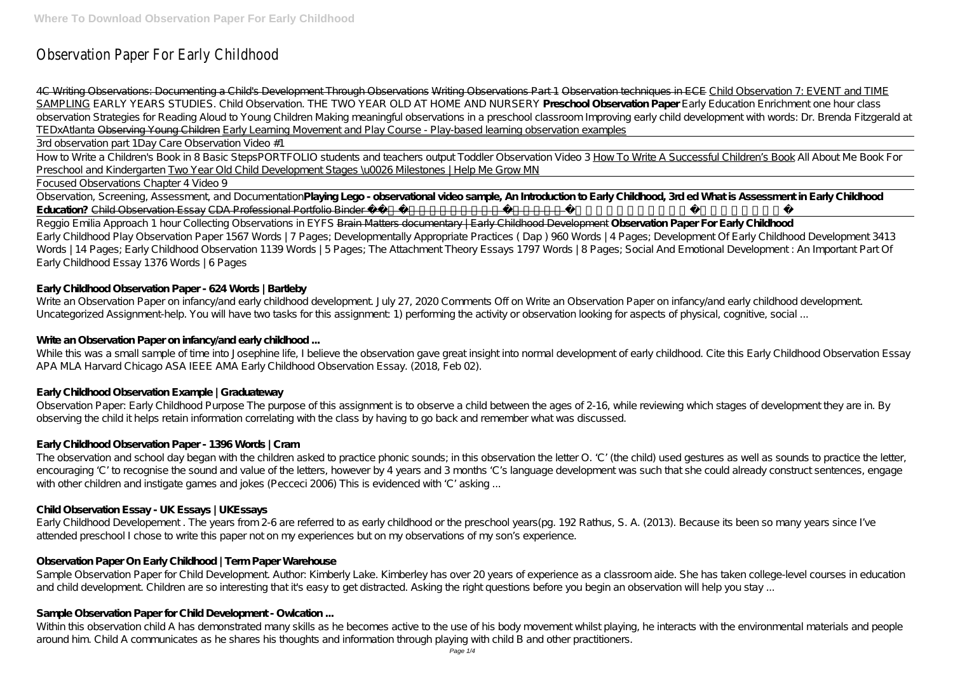# Observation Paper For Early Childhood

4C Writing Observations: Documenting a Child's Development Through Observations Writing Observations Part 1 Observation techniques in ECE Child Observation 7: EVENT and TIME SAMPLING *EARLY YEARS STUDIES. Child Observation. THE TWO YEAR OLD AT HOME AND NURSERY* **Preschool Observation Paper** *Early Education Enrichment one hour class observation Strategies for Reading Aloud to Young Children Making meaningful observations in a preschool classroom Improving early child development with words: Dr. Brenda Fitzgerald at TEDxA tlanta* Observing Young Children Early Learning Movement and Play Course - Play-based learning observation examples

3rd observation part 1*Day Care Observation Video #1*

How to Write a Children's Book in 8 Basic Steps*PORTFOLIO students and teachers output Toddler Observation Video 3* How To Write A Successful Children's Book *All About Me Book For Preschool and Kindergarten* Two Year Old Child Development Stages \u0026 Milestones | Help Me Grow MN

#### Focused Observations Chapter 4 Video 9

Observation, Screening, Assessment, and Documentation**Playing Lego - observational video sample, An Introduction to Early Childhood, 3rd ed What is Assessment in Early Childhood Education?** Child Observation Essay CDA Professional Portfolio Binder Preschool Child Development Associate

While this was a small sample of time into Josephine life, I believe the observation gave great insight into normal development of early childhood. Cite this Early Childhood Observation Essay APA MLA Harvard Chicago ASA IEEE AMA Early Childhood Observation Essay. (2018, Feb 02).

Reggio Emilia Approach 1 hour Collecting Observations in EYFS Brain Matters documentary | Early Childhood Development **Observation Paper For Early Childhood** Early Childhood Play Observation Paper 1567 Words | 7 Pages; Developmentally Appropriate Practices ( Dap ) 960 Words | 4 Pages; Development Of Early Childhood Development 3413 Words | 14 Pages; Early Childhood Observation 1139 Words | 5 Pages; The Attachment Theory Essays 1797 Words | 8 Pages; Social And Emotional Development: An Important Part Of Early Childhood Essay 1376 Words | 6 Pages

# **Early Childhood Observation Paper - 624 Words | Bartleby**

Write an Observation Paper on infancy/and early childhood development. July 27, 2020 Comments Off on Write an Observation Paper on infancy/and early childhood development. Uncategorized Assignment-help. You will have two tasks for this assignment: 1) performing the activity or observation looking for aspects of physical, cognitive, social ...

#### Write an Observation Paper on infancy/and early childhood ...

#### **Early Childhood Observation Example | Graduateway**

Observation Paper: Early Childhood Purpose The purpose of this assignment is to observe a child between the ages of 2-16, while reviewing which stages of development they are in. By observing the child it helps retain information correlating with the class by having to go back and remember what was discussed.

# **Early Childhood Observation Paper - 1396 Words | Cram**

The observation and school day began with the children asked to practice phonic sounds; in this observation the letter O. 'C' (the child) used gestures as well as sounds to practice the letter, encouraging 'C' to recognise the sound and value of the letters, however by 4 years and 3 months 'C's language development was such that she could already construct sentences, engage with other children and instigate games and jokes (Pecceci 2006) This is evidenced with 'C' asking ...

# **Child Observation Essay - UK Essays | UKEssays**

Early Childhood Developement . The years from 2-6 are referred to as early childhood or the preschool years(pg. 192 Rathus, S. A. (2013). Because its been so many years since I've attended preschool I chose to write this paper not on my experiences but on my observations of my son's experience.

#### **Observation Paper On Early Childhood | Term Paper Warehouse**

Sample Observation Paper for Child Development. Author: Kimberly Lake. Kimberley has over 20 years of experience as a classroom aide. She has taken college-level courses in education and child development. Children are so interesting that it's easy to get distracted. Asking the right questions before you begin an observation will help you stay ...

# **Sample Observation Paper for Child Development - Owlcation ...**

Within this observation child A has demonstrated many skills as he becomes active to the use of his body movement whilst playing, he interacts with the environmental materials and people around him. Child A communicates as he shares his thoughts and information through playing with child B and other practitioners.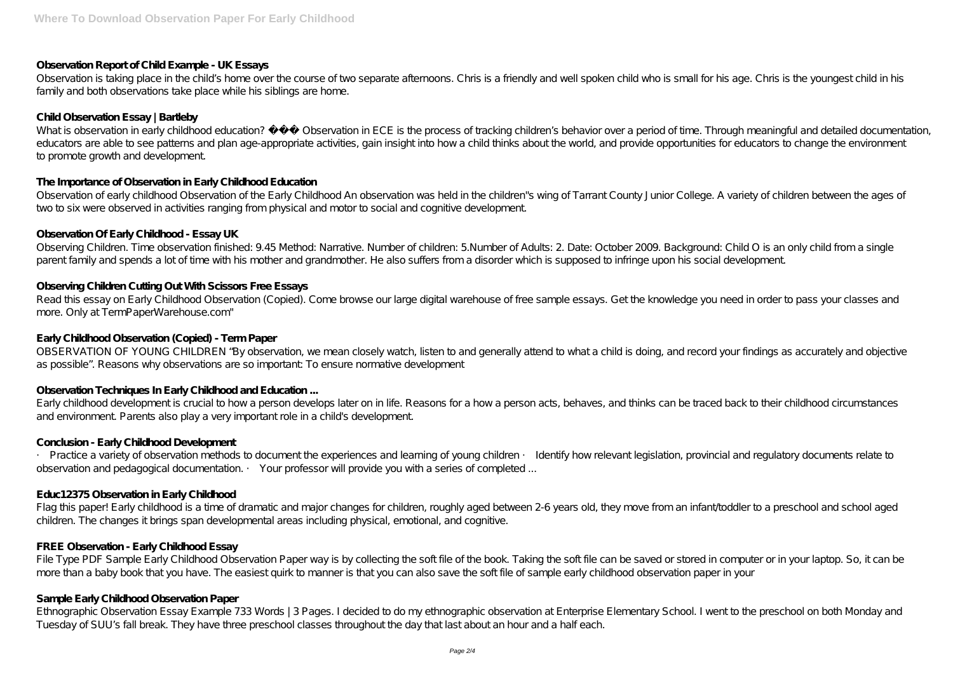# **Observation Report of Child Example - UK Essays**

Observation is taking place in the child's home over the course of two separate afternoons. Chris is a friendly and well spoken child who is small for his age. Chris is the youngest child in his family and both observations take place while his siblings are home.

# **Child Observation Essay | Bartleby**

What is observation in early childhood education? Observation in ECE is the process of tracking children's behavior over a period of time. Through meaningful and detailed documentation, educators are able to see patterns and plan age-appropriate activities, gain insight into how a child thinks about the world, and provide opportunities for educators to change the environment to promote growth and development.

Observing Children. Time observation finished: 9.45 Method: Narrative. Number of children: 5.Number of Adults: 2. Date: October 2009. Background: Child O is an only child from a single parent family and spends a lot of time with his mother and grandmother. He also suffers from a disorder which is supposed to infringe upon his social development.

# **The Importance of Observation in Early Childhood Education**

Read this essay on Early Childhood Observation (Copied). Come browse our large digital warehouse of free sample essays. Get the knowledge you need in order to pass your classes and more. Only at TermPaperWarehouse.com"

OBSERVATION OF YOUNG CHILDREN "By observation, we mean closely watch, listen to and generally attend to what a child is doing, and record your findings as accurately and objective as possible". Reasons why observations are so important: To ensure normative development

Observation of early childhood Observation of the Early Childhood An observation was held in the children"s wing of Tarrant County Junior College. A variety of children between the ages of two to six were observed in activities ranging from physical and motor to social and cognitive development.

# **Observation Of Early Childhood - Essay UK**

· Practice a variety of observation methods to document the experiences and learning of young children · Identify how relevant legislation, provincial and regulatory documents relate to observation and pedagogical documentation. · Your professor will provide you with a series of completed ...

Flag this paper! Early childhood is a time of dramatic and major changes for children, roughly aged between 2-6 years old, they move from an infant/toddler to a preschool and school aged children. The changes it brings span developmental areas including physical, emotional, and cognitive.

# **Observing Children Cutting Out With Scissors Free Essays**

File Type PDF Sample Early Childhood Observation Paper way is by collecting the soft file of the book. Taking the soft file can be saved or stored in computer or in your laptop. So, it can be more than a baby book that you have. The easiest quirk to manner is that you can also save the soft file of sample early childhood observation paper in your

# **Early Childhood Observation (Copied) - Term Paper**

# **Observation Techniques In Early Childhood and Education ...**

Early childhood development is crucial to how a person develops later on in life. Reasons for a how a person acts, behaves, and thinks can be traced back to their childhood circumstances and environment. Parents also play a very important role in a child's development.

#### **Conclusion - Early Childhood Development**

#### **Educ12375 Observation in Early Childhood**

#### **FREE Observation - Early Childhood Essay**

#### **Sample Early Childhood Observation Paper**

Ethnographic Observation Essay Example 733 Words | 3 Pages. I decided to do my ethnographic observation at Enterprise Elementary School. I went to the preschool on both Monday and Tuesday of SUU's fall break. They have three preschool classes throughout the day that last about an hour and a half each.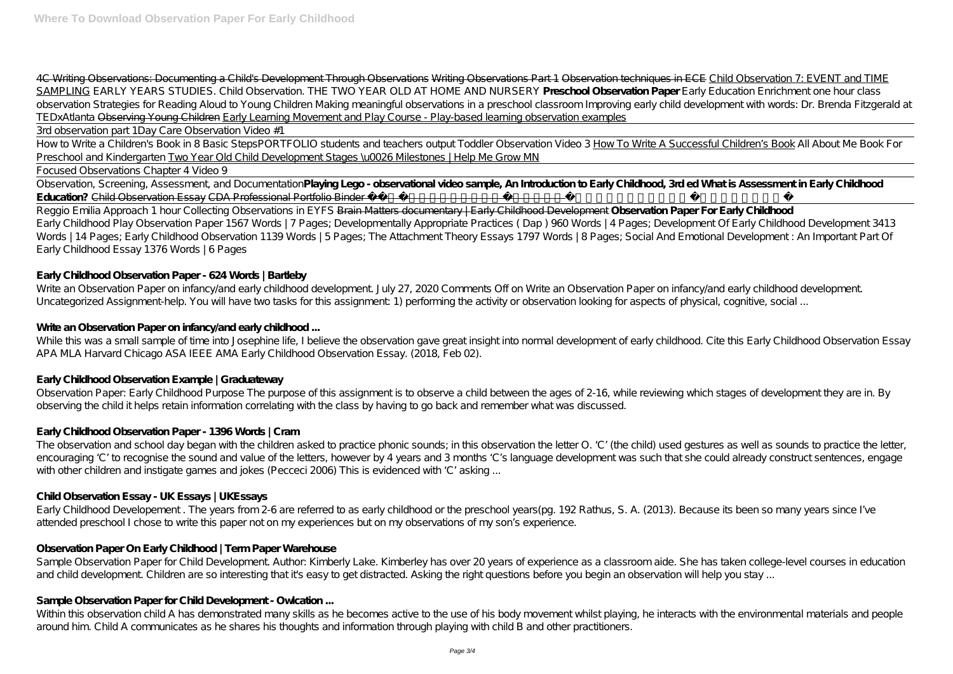4C Writing Observations: Documenting a Child's Development Through Observations Writing Observations Part 1 Observation techniques in ECE Child Observation 7: EVENT and TIME SAMPLING *EARLY YEARS STUDIES. Child Observation. THE TWO YEAR OLD AT HOME AND NURSERY* **Preschool Observation Paper** *Early Education Enrichment one hour class observation Strategies for Reading Aloud to Young Children Making meaningful observations in a preschool classroom Improving early child development with words: Dr. Brenda Fitzgerald at TEDxAtlanta* Observing Young Children Early Learning Movement and Play Course - Play-based learning observation examples

Observation, Screening, Assessment, and Documentation**Playing Lego - observational video sample, An Introduction to Early Childhood, 3rd ed What is Assessment in Early Childhood Education?** Child Observation Essay CDA Professional Portfolio Binder Preschool Child Development Associate

3rd observation part 1*Day Care Observation Video #1*

How to Write a Children's Book in 8 Basic Steps*PORTFOLIO students and teachers output Toddler Observation Video 3* How To Write A Successful Children's Book *All About Me Book For Preschool and Kindergarten* Two Year Old Child Development Stages \u0026 Milestones | Help Me Grow MN

Focused Observations Chapter 4 Video 9

While this was a small sample of time into Josephine life, I believe the observation gave great insight into normal development of early childhood. Cite this Early Childhood Observation Essay APA MLA Harvard Chicago ASA IEEE AMA Early Childhood Observation Essay. (2018, Feb 02).

Reggio Emilia Approach 1 hour Collecting Observations in EYFS Brain Matters documentary | Early Childhood Development **Observation Paper For Early Childhood** Early Childhood Play Observation Paper 1567 Words | 7 Pages; Developmentally Appropriate Practices ( Dap ) 960 Words | 4 Pages; Development Of Early Childhood Development 3413 Words | 14 Pages; Early Childhood Observation 1139 Words | 5 Pages; The Attachment Theory Essays 1797 Words | 8 Pages; Social And Emotional Development: An Important Part Of Early Childhood Essay 1376 Words | 6 Pages

# **Early Childhood Observation Paper - 624 Words | Bartleby**

Write an Observation Paper on infancy and early childhood development. July 27, 2020 Comments Off on Write an Observation Paper on infancy and early childhood development. Uncategorized Assignment-help. You will have two tasks for this assignment: 1) performing the activity or observation looking for aspects of physical, cognitive, social ...

# Write an Observation Paper on infancy/and early childhood ...

Sample Observation Paper for Child Development. Author: Kimberly Lake. Kimberley has over 20 years of experience as a classroom aide. She has taken college-level courses in education and child development. Children are so interesting that it's easy to get distracted. Asking the right questions before you begin an observation will help you stay ...

#### **Early Childhood Observation Example | Graduateway**

Observation Paper: Early Childhood Purpose The purpose of this assignment is to observe a child between the ages of 2-16, while reviewing which stages of development they are in. By observing the child it helps retain information correlating with the class by having to go back and remember what was discussed.

# **Early Childhood Observation Paper - 1396 Words | Cram**

The observation and school day began with the children asked to practice phonic sounds; in this observation the letter O. 'C' (the child) used gestures as well as sounds to practice the letter, encouraging 'C' to recognise the sound and value of the letters, however by 4 years and 3 months 'C's language development was such that she could already construct sentences, engage with other children and instigate games and jokes (Pecceci 2006) This is evidenced with 'C' asking ...

# **Child Observation Essay - UK Essays | UKEssays**

Early Childhood Developement . The years from 2-6 are referred to as early childhood or the preschool years(pg. 192 Rathus, S. A. (2013). Because its been so many years since I've attended preschool I chose to write this paper not on my experiences but on my observations of my son's experience.

#### **Observation Paper On Early Childhood | Term Paper Warehouse**

#### **Sample Observation Paper for Child Development - Owlcation ...**

Within this observation child A has demonstrated many skills as he becomes active to the use of his body movement whilst playing, he interacts with the environmental materials and people around him. Child A communicates as he shares his thoughts and information through playing with child B and other practitioners.